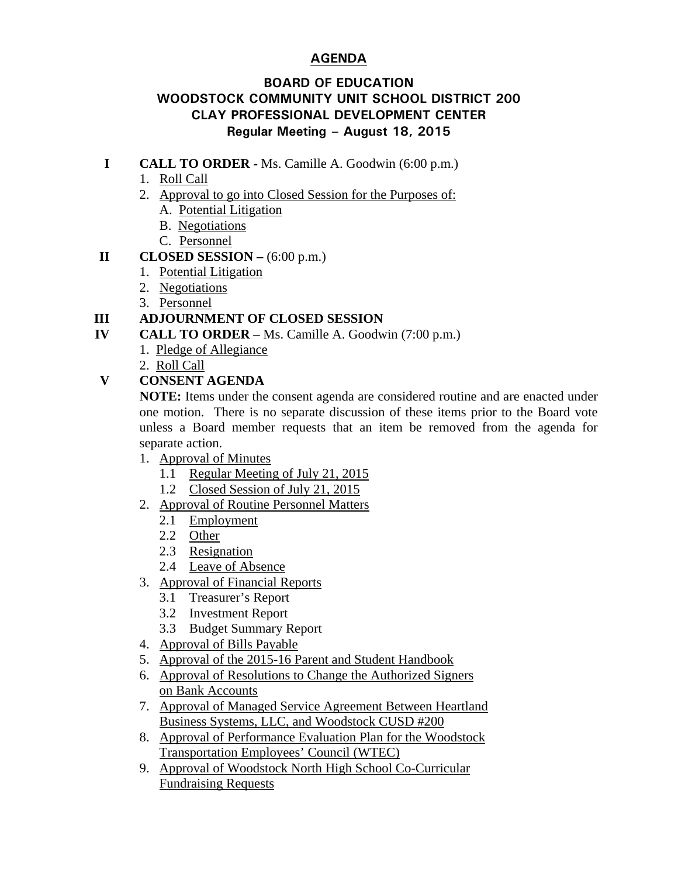### **AGENDA**

#### **BOARD OF EDUCATION WOODSTOCK COMMUNITY UNIT SCHOOL DISTRICT 200 CLAY PROFESSIONAL DEVELOPMENT CENTER Regular Meeting – August 18, 2015**

- **I CALL TO ORDER** Ms. Camille A. Goodwin (6:00 p.m.)
	- 1. Roll Call
	- 2. Approval to go into Closed Session for the Purposes of:
		- A. Potential Litigation
		- B. Negotiations
		- C. Personnel

### **II** CLOSED SESSION  $(6:00 \text{ p.m.})$

- 1. Potential Litigation
- 2. Negotiations
- 3. Personnel

## **III ADJOURNMENT OF CLOSED SESSION**

- **IV** CALL TO ORDER Ms. Camille A. Goodwin (7:00 p.m.)
	- 1. Pledge of Allegiance
	- 2. Roll Call

## **V CONSENT AGENDA**

 **NOTE:** Items under the consent agenda are considered routine and are enacted under one motion. There is no separate discussion of these items prior to the Board vote unless a Board member requests that an item be removed from the agenda for separate action.

- 1. Approval of Minutes
	- 1.1 Regular Meeting of July 21, 2015
	- 1.2 Closed Session of July 21, 2015
- 2. Approval of Routine Personnel Matters
	- 2.1 Employment
	- 2.2 Other
	- 2.3 Resignation
	- 2.4 Leave of Absence
- 3. Approval of Financial Reports
	- 3.1 Treasurer's Report
	- 3.2 Investment Report
	- 3.3 Budget Summary Report
- 4. Approval of Bills Payable
- 5. Approval of the 2015-16 Parent and Student Handbook
- 6. Approval of Resolutions to Change the Authorized Signers on Bank Accounts
- 7. Approval of Managed Service Agreement Between Heartland Business Systems, LLC, and Woodstock CUSD #200
- 8. Approval of Performance Evaluation Plan for the Woodstock Transportation Employees' Council (WTEC)
- 9. Approval of Woodstock North High School Co-Curricular Fundraising Requests